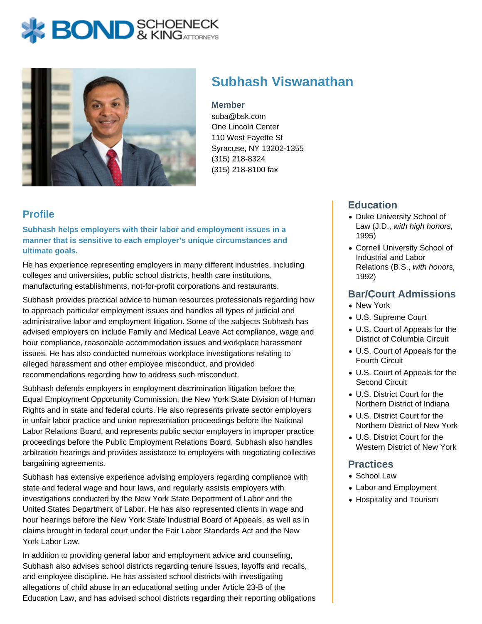# **BOND** & KINGATTORNECK



# **Subhash Viswanathan**

**Member**

suba@bsk.com One Lincoln Center 110 West Fayette St Syracuse, NY 13202-1355 (315) 218-8324 (315) 218-8100 fax

# **Profile**

**Subhash helps employers with their labor and employment issues in a manner that is sensitive to each employer's unique circumstances and ultimate goals.**

He has experience representing employers in many different industries, including colleges and universities, public school districts, health care institutions, manufacturing establishments, not-for-profit corporations and restaurants.

Subhash provides practical advice to human resources professionals regarding how to approach particular employment issues and handles all types of judicial and administrative labor and employment litigation. Some of the subjects Subhash has advised employers on include Family and Medical Leave Act compliance, wage and hour compliance, reasonable accommodation issues and workplace harassment issues. He has also conducted numerous workplace investigations relating to alleged harassment and other employee misconduct, and provided recommendations regarding how to address such misconduct.

Subhash defends employers in employment discrimination litigation before the Equal Employment Opportunity Commission, the New York State Division of Human Rights and in state and federal courts. He also represents private sector employers in unfair labor practice and union representation proceedings before the National Labor Relations Board, and represents public sector employers in improper practice proceedings before the Public Employment Relations Board. Subhash also handles arbitration hearings and provides assistance to employers with negotiating collective bargaining agreements.

Subhash has extensive experience advising employers regarding compliance with state and federal wage and hour laws, and regularly assists employers with investigations conducted by the New York State Department of Labor and the United States Department of Labor. He has also represented clients in wage and hour hearings before the New York State Industrial Board of Appeals, as well as in claims brought in federal court under the Fair Labor Standards Act and the New York Labor Law.

In addition to providing general labor and employment advice and counseling, Subhash also advises school districts regarding tenure issues, layoffs and recalls, and employee discipline. He has assisted school districts with investigating allegations of child abuse in an educational setting under Article 23-B of the Education Law, and has advised school districts regarding their reporting obligations

## **Education**

- Duke University School of Law (J.D., with high honors, 1995)
- Cornell University School of Industrial and Labor Relations (B.S., with honors, 1992)

#### **Bar/Court Admissions**

- New York
- U.S. Supreme Court
- U.S. Court of Appeals for the District of Columbia Circuit
- U.S. Court of Appeals for the Fourth Circuit
- U.S. Court of Appeals for the Second Circuit
- U.S. District Court for the Northern District of Indiana
- U.S. District Court for the Northern District of New York
- U.S. District Court for the Western District of New York

#### **Practices**

- School Law
- Labor and Employment
- Hospitality and Tourism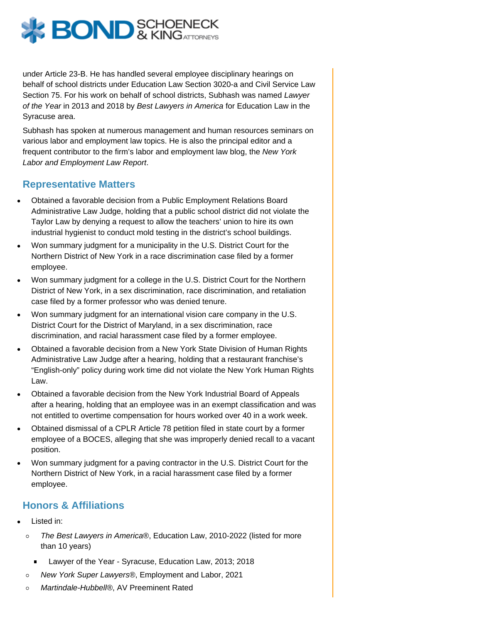under Article 23-B. He has handled several employee disciplinary hearings on behalf of school districts under Education Law Section 3020-a and Civil Service Law Section 75. For his work on behalf of school districts, Subhash was named Lawyer of the Year in 2013 and 2018 by Best Lawyers in America for Education Law in the Syracuse area.

Subhash has spoken at numerous management and human resources seminars on various labor and employment law topics. He is also the principal editor and a frequent contributor to the firm's labor and employment law blog, the [New York](https://www.bsk.com/new-york-labor-and-employment-law-report/) [Labor and Employment Law Report](https://www.bsk.com/new-york-labor-and-employment-law-report/).

#### Representative Matters

- Obtained a favorable decision from a Public Employment Relations Board Administrative Law Judge, holding that a public school district did not violate the Taylor Law by denying a request to allow the teachers' union to hire its own industrial hygienist to conduct mold testing in the district's school buildings.
- Won summary judgment for a municipality in the U.S. District Court for the Northern District of New York in a race discrimination case filed by a former employee.
- Won summary judgment for a college in the U.S. District Court for the Northern District of New York, in a sex discrimination, race discrimination, and retaliation case filed by a former professor who was denied tenure.
- Won summary judgment for an international vision care company in the U.S. District Court for the District of Maryland, in a sex discrimination, race discrimination, and racial harassment case filed by a former employee.
- Obtained a favorable decision from a New York State Division of Human Rights Administrative Law Judge after a hearing, holding that a restaurant franchise's "English-only" policy during work time did not violate the New York Human Rights Law.
- Obtained a favorable decision from the New York Industrial Board of Appeals after a hearing, holding that an employee was in an exempt classification and was not entitled to overtime compensation for hours worked over 40 in a work week.
- Obtained dismissal of a CPLR Article 78 petition filed in state court by a former employee of a BOCES, alleging that she was improperly denied recall to a vacant position.
- Won summary judgment for a paving contractor in the U.S. District Court for the Northern District of New York, in a racial harassment case filed by a former employee.

#### Honors & Affiliations

- Listed in:
	- The Best Lawyers in America®, Education Law, 2010-2022 (listed for more  $\circ$ than 10 years)
		- Lawyer of the Year Syracuse, Education Law, 2013; 2018
	- New York Super Lawyers®, Employment and Labor, 2021  $\circ$
	- Martindale-Hubbell®, AV Preeminent Rated $\circ$